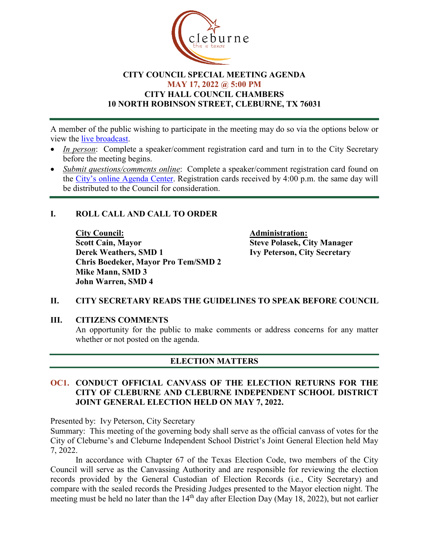

#### **CITY COUNCIL SPECIAL MEETING AGENDA MAY 17, 2022 @ 5:00 PM CITY HALL COUNCIL CHAMBERS 10 NORTH ROBINSON STREET, CLEBURNE, TX 76031**

A member of the public wishing to participate in the meeting may do so via the options below or view the [live broadcast.](http://www.cleburne.net/925/Cleburne-Live)

- *In person*: Complete a speaker/comment registration card and turn in to the City Secretary before the meeting begins.
- *Submit questions/comments online*: Complete a speaker/comment registration card found on the [City's online Agenda Center.](https://www.cleburne.net/agendacenter) Registration cards received by 4:00 p.m. the same day will be distributed to the Council for consideration.

### **I. ROLL CALL AND CALL TO ORDER**

**City Council: Administration: Scott Cain, Mayor Steve Polasek, City Manager Derek Weathers, SMD 1 Ivy Peterson, City Secretary Chris Boedeker, Mayor Pro Tem/SMD 2 Mike Mann, SMD 3 John Warren, SMD 4**

### **II. CITY SECRETARY READS THE GUIDELINES TO SPEAK BEFORE COUNCIL**

# **III. CITIZENS COMMENTS** An opportunity for the public to make comments or address concerns for any matter whether or not posted on the agenda.

### **ELECTION MATTERS**

#### **OC1. CONDUCT OFFICIAL CANVASS OF THE ELECTION RETURNS FOR THE CITY OF CLEBURNE AND CLEBURNE INDEPENDENT SCHOOL DISTRICT JOINT GENERAL ELECTION HELD ON MAY 7, 2022.**

Presented by: Ivy Peterson, City Secretary

Summary: This meeting of the governing body shall serve as the official canvass of votes for the City of Cleburne's and Cleburne Independent School District's Joint General Election held May 7, 2022.

In accordance with Chapter 67 of the Texas Election Code, two members of the City Council will serve as the Canvassing Authority and are responsible for reviewing the election records provided by the General Custodian of Election Records (i.e., City Secretary) and compare with the sealed records the Presiding Judges presented to the Mayor election night. The meeting must be held no later than the  $14<sup>th</sup>$  day after Election Day (May 18, 2022), but not earlier